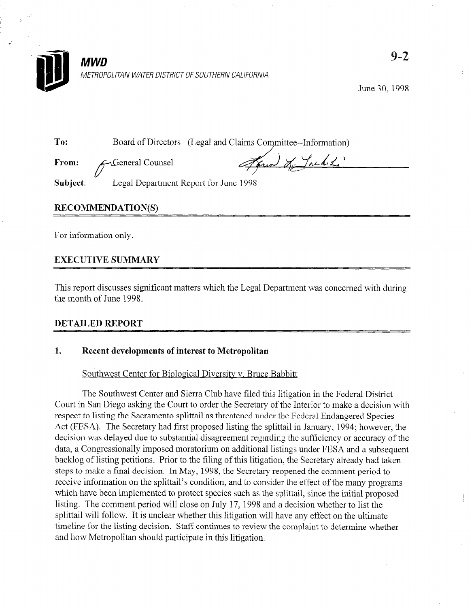

June 30,1998

To: Board of Directors (Legal and Claims Committee--Information)

From: F-General Counsel

Jan & Jacket

Subject: Legal Department Report for June 1998

## RECOMMENDATION(S)

For information only.

# **EXECUTIVE SUMMARY**

This report discusses significant matters which the Legal Department was concerned with during the month of June 1998.

## DETAILED REPORT

## 1. Recent developments of interest to Metropolitan

## Southwest Center for Biological Diversity v. Bruce Babbitt

The Southwest Center and Sierra Club have filed this litigation in the Federal District Court in San Diego asking the Court to order the Secretary of the Interior to make a decision with respect to listing the Sacramento splittail as threatened under the Federal Endangered Species Act (FESA). The Secretary had first proposed listing the splittail in January, 1994; however, the decision was delayed due to substantial disagreement regarding the sufficiency or accuracy of the data, a Congressionally imposed moratorium on additional listings under FESA and a subsequent backlog of listing petitions. Prior to the filing of this litigation, the Secretary already had taken steps to make a final decision. In May, 1998, the Secretary reopened the comment period to receive information on the splittail's condition, and to consider the effect of the many programs which have been implemented to protect species such as the splittail, since the initial proposed listing. The comment period will close on July 17, 1998 and a decision whether to list the splittail will follow. It is unclear whether this litigation will have any effect on the ultimate timeline for the listing decision. Staff continues to review the complaint to determine whether and how Metropolitan should participate in this litigation.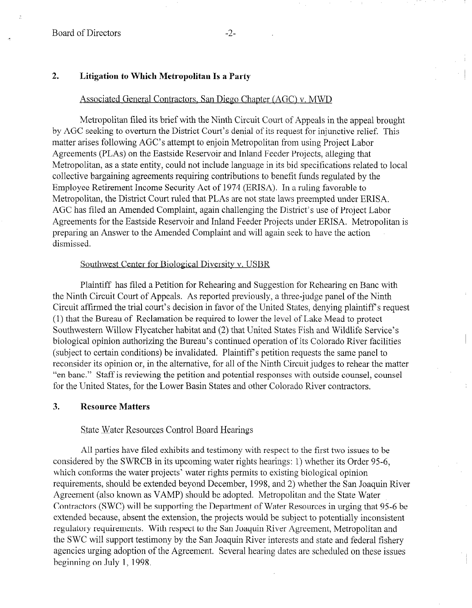#### 2. Litigation to Which Metropolitan Is a Party

# Associated General Contractors. San Diego Chapter (AGC) v. MWD

Metropolitan filed its brief with the Ninth Circuit Court of Appeals in the appeal brought by AGC seeking to overturn the District Court's denial of its request for injunctive relief. This matter arises following AGC's attempt to enjoin Metropolitan from using Project Labor Agreements (PLAs) on the Eastside Reservoir and Inland Feeder Projects, alleging that Metropolitan, as a state entity, could not include language in its bid specifications related to local collective bargaining agreements requiring contributions to benefit funds regulated by the Employee Retirement Income Security Act of 1974 (ERISA). In a ruling favorable to Metropolitan, the District Court ruled that PLAs are not state laws preempted under ERISA. AGC has filed an Amended Complaint, again challenging the District's use of Project Labor Agreements for the Eastside Reservoir and Inland Feeder Projects under ERISA. Metropolitan is preparing an Answer to the Amended Complaint and will again seek to have the action dismissed.

## Southwest Center for Biological Diversity v. USBR

Plaintiff has filed a Petition for Rehearing and Suggestion for Rehearing en Bane with the Ninth Circuit Court of Appeals. As reported previously, a three-judge panel of the Ninth Circuit affirmed the trial court's decision in favor of the United States, denying plaintiff's request Chean annihed the Bureau of Recision in layor of the United Blates, deliving planning s (1) that the Bureau of Reclamation be required to lower the rever of Lake Mead to protect bounives term whow I fyeater the Bureau's continued operation of its Colorado River is  $\mathcal{L}$ biological opinion additionsing the Bureau's communed operation of its colorado Kiver facili (subject to certain conditions) be invalidated. Plaintiff's petition requests the same panel to reconsider its opinion or, in the alternative, for all of the Ninth Circuit judges to rehear the matter "en banc." Staff is reviewing the petition and potential responses with outside counsel, counsel<br>for the United States, for the Lower Basin States and other Colorado River contractors.

#### **State Water Resources Control Board Hearings**

All parties have filed exhibits and testimony with respect to the first two issues to be considered by the SWRCB in its upcoming water rights hearings:  $\ell$ ) whether its Order 95-6, which conforms the water projects' water rights permits to existing biological opinion requirements, should be extended beyond December, 1998, and 2) whether the San Joaquin River Agreement (also known as VAMP) should be adopted. Metropolitan and the State Water Contractors (SWC) will be supporting the Department of Water Resources in urging that 95-6 be extended because, absent the extension, the projects would be subject to potentially inconsistent regulatory requirements. With respect to the San Joaquin River Agreement, Metropolitan and the SWC will support testimony by the San Joaquin River interests and state and federal fishery agencies urging adoption of the Agreement. Several hearing dates are scheduled on these issues beginning on July 1, 1998.